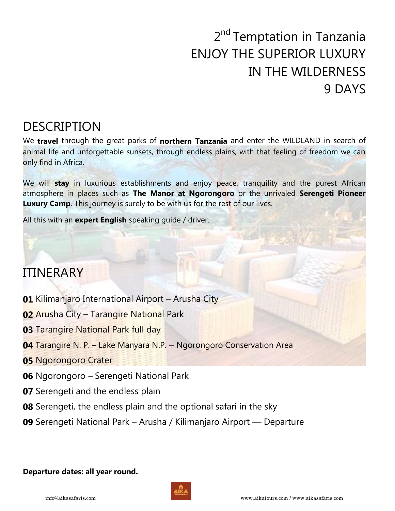# 2<sup>nd</sup> Temptation in Tanzania ENJOY THE SUPERIOR LUXURY IN THE WILDERNESS 9 DAYS

## DESCRIPTION

We **travel** through the great parks of **northern Tanzania** and enter the WILDLAND in search of animal life and unforgettable sunsets, through endless plains, with that feeling of freedom we can only find in Africa.

We will **stay** in luxurious establishments and enjoy peace, tranquility and the purest African atmosphere in places such as **The Manor at Ngorongoro** or the unrivaled **Serengeti Pioneer Luxury Camp**. This journey is surely to be with us for the rest of our lives.

All this with an **expert English** speaking guide / driver.

## ITINERARY

- **01** Kilimanjaro International Airport Arusha City
- **02** Arusha City Tarangire National Park
- **03** Tarangire National Park full day
- **04** Tarangire N. P. Lake Manyara N.P. Ngorongoro Conservation Area
- **05** Ngorongoro Crater
- **06** Ngorongoro Serengeti National Park
- **07** Serengeti and the endless plain
- **08** Serengeti, the endless plain and the optional safari in the sky
- **09** Serengeti National Park Arusha / Kilimanjaro Airport Departure

### **Departure dates: all year round.**

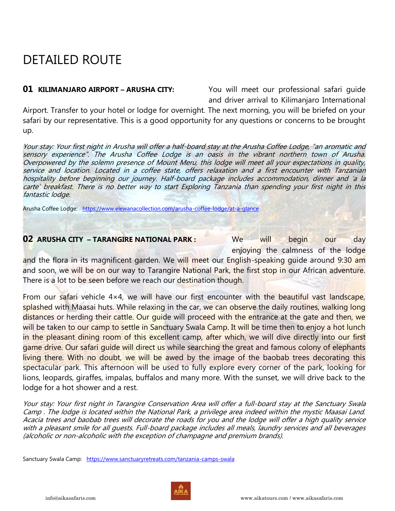## DETAILED ROUTE

**01 KILIMANJARO AIRPORT - ARUSHA CITY:** You will meet our professional safari guide and driver arrival to Kilimanjaro International

Airport. Transfer to your hotel or lodge for overnight. The next morning, you will be briefed on your safari by our representative. This is a good opportunity for any questions or concerns to be brought up.

Your stay: Your first night in Arusha will offer a half-board stay at the Arusha Coffee Lodge, "an aromatic and sensory experience". The Arusha Coffee Lodge is an oasis in the vibrant northern town of Arusha. Overpowered by the solemn presence of Mount Meru, this lodge will meet all your expectations in quality, service and location. Located in a coffee state, offers relaxation and a first encounter with Tanzanian hospitality before beginning our journey. Half-board package includes accommodation, dinner and 'a la carte' breakfast. There is no better way to start Exploring Tanzania than spending your first night in this fantastic lodge.

Arusha Coffee Lodge: <https://www.elewanacollection.com/arusha-coffee-lodge/at-a-glance>

### **02** ARUSHA CITY – TARANGIRE NATIONAL PARK : We will begin our day

enjoying the calmness of the lodge and the flora in its magnificent garden. We will meet our English-speaking quide around 9:30 am and soon, we will be on our way to Tarangire National Park, the first stop in our African adventure. There is a lot to be seen before we reach our destination though.

From our safari vehicle 4×4, we will have our first encounter with the beautiful vast landscape, splashed with Maasai huts. While relaxing in the car, we can observe the daily routines, walking long distances or herding their cattle. Our quide will proceed with the entrance at the gate and then, we will be taken to our camp to settle in Sanctuary Swala Camp. It will be time then to enjoy a hot lunch in the pleasant dining room of this excellent camp, after which, we will dive directly into our first game drive. Our safari guide will direct us while searching the great and famous colony of elephants living there. With no doubt, we will be awed by the image of the baobab trees decorating this spectacular park. This afternoon will be used to fully explore every corner of the park, looking for lions, leopards, giraffes, impalas, buffalos and many more. With the sunset, we will drive back to the lodge for a hot shower and a rest.

Your stay: Your first night in Tarangire Conservation Area will offer a full-board stay at the Sanctuary Swala Camp . The lodge is located within the National Park, a privilege area indeed within the mystic Maasai Land. Acacia trees and baobab trees will decorate the roads for you and the lodge will offer a high quality service with a pleasant smile for all guests. Full-board package includes all meals, laundry services and all beverages (alcoholic or non-alcoholic with the exception of champagne and premium brands).

Sanctuary Swala Camp: <https://www.sanctuaryretreats.com/tanzania-camps-swala>

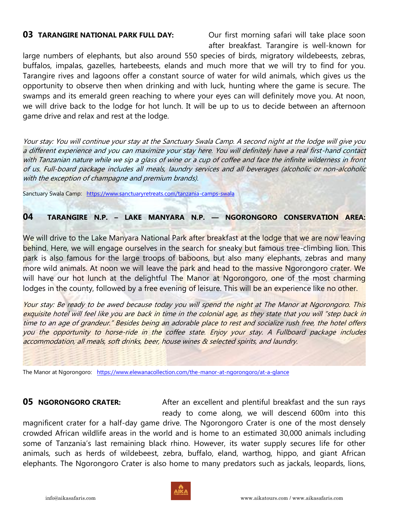**03 TARANGIRE NATIONAL PARK FULL DAY:** Our first morning safari will take place soon after breakfast. Tarangire is well-known for

large numbers of elephants, but also around 550 species of birds, migratory wildebeests, zebras, buffalos, impalas, gazelles, hartebeests, elands and much more that we will try to find for you. Tarangire rives and lagoons offer a constant source of water for wild animals, which gives us the opportunity to observe then when drinking and with luck, hunting where the game is secure. The swamps and its emerald green reaching to where your eyes can will definitely move you. At noon, we will drive back to the lodge for hot lunch. It will be up to us to decide between an afternoon game drive and relax and rest at the lodge.

Your stay: You will continue your stay at the Sanctuary Swala Camp. A second night at the lodge will give you a different experience and you can maximize your stay here. You will definitely have a real first-hand contact with Tanzanian nature while we sip a glass of wine or a cup of coffee and face the infinite wilderness in front of us. Full-board package includes all meals, laundry services and all beverages (alcoholic or non-alcoholic with the exception of champagne and premium brands).

Sanctuary Swala Camp: <https://www.sanctuaryretreats.com/tanzania-camps-swala>

### **04 TARANGIRE N.P. – LAKE MANYARA N.P. — NGORONGORO CONSERVATION AREA:**

We will drive to the Lake Manyara National Park after breakfast at the lodge that we are now leaving behind. Here, we will engage ourselves in the search for sneaky but famous tree-climbing lion. This park is also famous for the large troops of baboons, but also many elephants, zebras and many more wild animals. At noon we will leave the park and head to the massive Ngorongoro crater. We will have our hot lunch at the delightful The Manor at Ngorongoro, one of the most charming lodges in the county, followed by a free evening of leisure. This will be an experience like no other.

Your stay: Be ready to be awed because today you will spend the night at The Manor at Ngorongoro. This exquisite hotel will feel like you are back in time in the colonial age, as they state that you will "step back in time to an age of grandeur." Besides being an adorable place to rest and socialize rush free, the hotel offers you the opportunity to horse-ride in the coffee state. Enjoy your stay. A Fullboard package includes accommodation, all meals, soft drinks, beer, house wines & selected spirits, and laundry.

The Manor at Ngorongoro: <https://www.elewanacollection.com/the-manor-at-ngorongoro/at-a-glance>

**05 NGORONGORO CRATER:** After an excellent and plentiful breakfast and the sun rays ready to come along, we will descend 600m into this

magnificent crater for a half-day game drive. The Ngorongoro Crater is one of the most densely crowded African wildlife areas in the world and is home to an estimated 30,000 animals including some of Tanzania's last remaining black rhino. However, its water supply secures life for other animals, such as herds of wildebeest, zebra, buffalo, eland, warthog, hippo, and giant African elephants. The Ngorongoro Crater is also home to many predators such as jackals, leopards, lions,

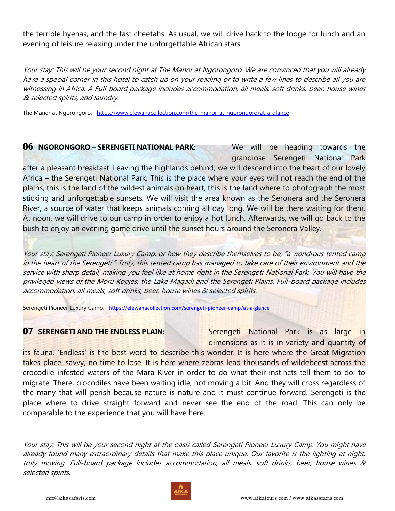the terrible hyenas, and the fast cheetahs. As usual, we will drive back to the lodge for lunch and an evening of leisure relaxing under the unforgettable African stars.

Your stay: This will be your second night at The Manor at Ngorongoro. We are convinced that you will already have a special corner in this hotel to catch up on your reading or to write a few lines to describe all you are witnessing in Africa. A Full-board package includes accommodation, all meals, soft drinks, beer, house wines & selected spirits, and laundry.

The Manor at Ngorongoro: <https://www.elewanacollection.com/the-manor-at-ngorongoro/at-a-glance>

**06 NGORONGORO – SERENGETI NATIONAL PARK:** We will be heading towards the grandiose Serengeti National Park after a pleasant breakfast. Leaving the highlands behind, we will descend into the heart of our lovely Africa – the Serengeti National Park. This is the place where your eyes will not reach the end of the plains, this is the land of the wildest animals on heart, this is the land where to photograph the most sticking and unforgettable sunsets. We will visit the area known as the Seronera and the Seronera River, a source of water that keeps animals coming all day long. We will be there waiting for them. At noon, we will drive to our camp in order to enjoy a hot lunch. Afterwards, we will go back to the bush to enjoy an evening game drive until the sunset hours around the Seronera Valley.

Your stay: Serengeti Pioneer Luxury Camp, or how they describe themselves to be, "a wondrous tented camp in the heart of the Serengeti." Truly, this tented camp has managed to take care of their environment and the service with sharp detail, making you feel like at home right in the Serengeti National Park. You will have the privileged views of the Moru Kopjes, the Lake Magadi and the Serengeti Plains. Full-board package includes accommodation, all meals, soft drinks, beer, house wines & selected spirits.

Serengeti Pioneer Luxury Camp: <https://elewanacollection.com/serengeti-pioneer-camp/at-a-glance>

**07 SERENGETI AND THE ENDLESS PLAIN:** Serengeti National Park is as large in dimensions as it is in variety and quantity of

its fauna. 'Endless' is the best word to describe this wonder. It is here where the Great Migration takes place, savvy, no time to lose. It is here where zebras lead thousands of wildebeest across the crocodile infested waters of the Mara River in order to do what their instincts tell them to do: to migrate. There, crocodiles have been waiting idle, not moving a bit. And they will cross regardless of the many that will perish because nature is nature and it must continue forward. Serengeti is the place where to drive straight forward and never see the end of the road. This can only be comparable to the experience that you will have here.

Your stay: This will be your second night at the oasis called Serengeti Pioneer Luxury Camp. You might have already found many extraordinary details that make this place unique. Our favorite is the lighting at night, truly moving. Full-board package includes accommodation, all meals, soft drinks, beer, house wines & selected spirits.

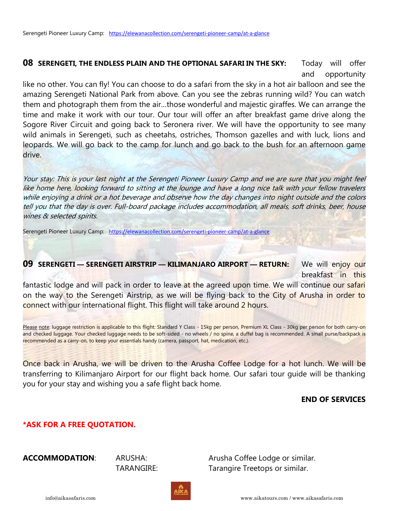### **08 SERENGETI, THE ENDLESS PLAIN AND THE OPTIONAL SAFARI IN THE SKY:** Today will offer and opportunity

like no other. You can fly! You can choose to do a safari from the sky in a hot air balloon and see the amazing Serengeti National Park from above. Can you see the zebras running wild? You can watch them and photograph them from the air…those wonderful and majestic giraffes. We can arrange the time and make it work with our tour. Our tour will offer an after breakfast game drive along the Sogore River Circuit and going back to Seronera river. We will have the opportunity to see many wild animals in Serengeti, such as cheetahs, ostriches, Thomson gazelles and with luck, lions and leopards. We will go back to the camp for lunch and go back to the bush for an afternoon game drive.

Your stay: This is your last night at the Serengeti Pioneer Luxury Camp and we are sure that you might feel like home here, looking forward to sitting at the lounge and have a long nice talk with your fellow travelers while enjoying a drink or a hot beverage and observe how the day changes into night outside and the colors tell you that the day is over. Full-board package includes accommodation, all meals, soft drinks, beer, house wines & selected spirits.

Serengeti Pioneer Luxury Camp: <https://elewanacollection.com/serengeti-pioneer-camp/at-a-glance>

## **09 SERENGETI — SERENGETI AIRSTRIP — KILIMANJARO AIRPORT — RETURN: We will enjoy our** breakfast in this fantastic lodge and will pack in order to leave at the agreed upon time. We will continue our safari

on the way to the Serengeti Airstrip, as we will be flying back to the City of Arusha in order to connect with our international flight. This flight will take around 2 hours.

Please note: luggage restriction is applicable to this flight: Standard Y Class - 15kg per person, Premium XL Class - 30kg per person for both carry-on and checked luggage. Your checked luggage needs to be soft-sided - no wheels / no spine, a duffel bag is recommended. A small purse/backpack is recommended as a carry-on, to keep your essentials handy (camera, passport, hat, medication, etc.).

Once back in Arusha, we will be driven to the Arusha Coffee Lodge for a hot lunch. We will be transferring to Kilimanjaro Airport for our flight back home. Our safari tour guide will be thanking you for your stay and wishing you a safe flight back home.

### **END OF SERVICES**

### **\*ASK FOR A FREE QUOTATION.**

**ACCOMMODATION:** ARUSHA: ARUSHA: Arusha Coffee Lodge or similar. TARANGIRE: Tarangire Treetops or similar.